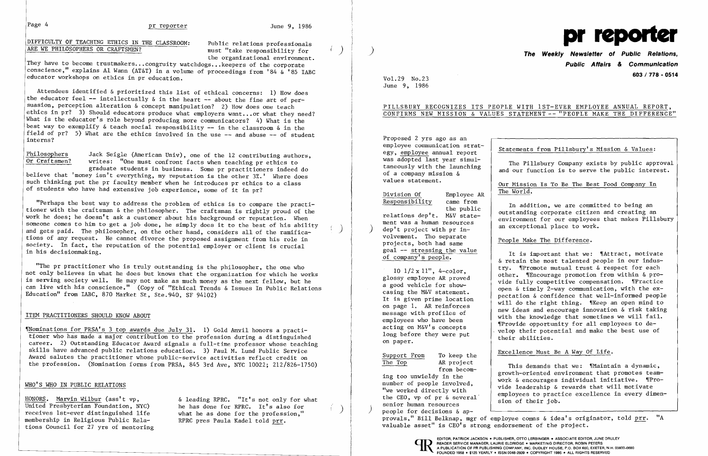# Page 4 pr reporter June 9, 1986

DIFFICULTY OF TEACHING ETHICS IN THE CLASSROOM: ARE WE PHILOSOPHERS OR CRAFTSMEN?

Public relations professionals must "take responsibility for the organizational environment.

They have to become trustmakers... congruity watchdogs.•. keepers of the corporate conscience," explains Al Wann (AT&T) in a volume of proceedings from '84 & '85 IABC educator workshops on ethics in pr education.

| Philosophers  | Jack Seigle (American Univ), one of the 12 contributing authors,                 |
|---------------|----------------------------------------------------------------------------------|
| Or Craftsmen? | writes: "One must confront facts when teaching pr ethics to                      |
|               | graduate students in business. Some pr practitioners indeed do                   |
|               | believe that 'money isn't everything, my reputation is the other 3%.' Where does |

Attendees identified & prioritized this list of ethical concerns: 1) How does the educator feel  $-$  intellectually  $\delta$  in the heart  $-$  about the fine art of persuasion, perception alteration & concept manipulation? 2) How does one teach ethics in pr? 3) Should educators produce what employers want... or what they need? What is the educator's role beyond producing more communicators? 4) What is the best way to exemplify & teach social responsibility -- in the classroom & in the field of pr? 5) What are the ethics involved in the use -- and abuse -- of student interns?

such thinking put the pr faculty member when he introduces pr ethics to a class of students who have had extensive job experience, some of it in pr?

"Nominations for PRSA's 3 top awards due July 31. 1) Gold Anvil honors a practitioner who has made a major contribution to the profession during a distinguished career. 2) Outstanding Educator Award signals a full-time professor whose teaching skills have advanced public relations education. 3) Paul M. Lund Public Service Award salutes the practitioner whose public-service activities reflect credit on the profession. (Nomination forms from PRSA, 845 3rd Ave, NYC 10022; 212/826-1750)

United Presbyterian Foundation, NYC) he has done for RPRC. It's also for receives 1st-ever distinguished life what he as done for the profession." receives 1st-ever distinguished life what he as done for the profess:<br>membership in Religious Public Rela-<br>RPRC pres Paula Kadel told prr. membership in Religious Public Relations Council for 27 yrs of mentoring

HONORS. Marvin Wilbur (ass't vp,  $\delta$  leading RPRC. "It's not only for what United Presbyterian Foundation, NYC) he has done for RPRC. It's also for

PILLSBURY RECOGNIZES ITS PEOPLE WITH 1ST-EVER EMPLOYEE ANNUAL REPORT, CONFIRMS NEW MISSION & VALUES STATEMENT -- "PEOPLE MAKE THE DIFFERENCE"

Statements from Pillsbury's Mission & Values:

Our Mission Is To Be The Best Food Company In<br>The World.

the public<br>
relations dep't. M&V state-<br>
ment was a human resources<br>
dep't project with pr in-<br>
dep't project with pr in-

goal -- stressing the value<br>of company's people. <br>a retain the most talented people in our indus-<br>try. "Promote mutual trust & respect for each try. '[Promote mutual trust & respect for each 10 1/2 x 11", 4-color, other. 'IEncourage promotion from within & pro glossy employee AR proved vide fully competitive compensation. ,rPractice a good vehicle for show-The maximum casing the Maximum communication  $\alpha$  confidence that well-informed people<br>It is given prime location will do the right thing. Wheep an open mind to on page 1. AK reinforces<br>message with profiles of<br>employees who have been<br>acting on M&V's concepts<br>long before they were put<br>their abilities.

The Top AR project<br>
ing too unwieldy in the<br>
number of people involved,<br>
"We worked directly with<br>
the CEO, vp of pr & several<br>
senior human resources<br>
(and the CEO, vp of pr & several<br>
senior human resources<br>
(and their j

"Perhaps the best way to address the problem of ethics is to compare the practitioner with the craftsman & the philosopher. The craftsman is rightly proud of the work he does; he doesn't ask a customer about his background or reputation. When someone comes to him to get a job done, he simply does it to the best of his ability and gets paid. The philosopher, on the other hand, considers all of the ramifications of any request. He cannot divorce the proposed assignment from his role in society. In fact, the reputation of the potential employer or client is crucial in his decisionmaking.

"The pr practitioner who is truly outstanding is the philosopher, the one who not only believes in what he does but knows that the organization for which he works is serving society well. He may not make as much money as the next fellow, but he can live with his conscience." (Copy of "Ethical Trends & Issues In Public Relations Education" from IABC, 870 Market St, Ste.940, SF 94102)

### ITEM PRACTITIONERS SHOULD KNOW ABOUT

### WHO'S WHO IN PUBLIC RELATIONS

)



)

 $\binom{1}{2}$ 

 $\begin{pmatrix} 1 \\ -1 \end{pmatrix}$ 

Vol. 29 No.23 June 9, 1986

Proposed 2 yrs ago as an<br>employee communication strategy, employee annual report<br>was adopted last year simulwas adopted last year simul-<br>taneously with the launching  $\int$  and our function is to serve the public interest.<br>values statement.

# Division Of Employee AR<br>Responsibility came from

dep't project with pr in-<br>volvement. Tho separate  $\begin{bmatrix} a & b \\ c & d \end{bmatrix}$  an exceptional place to work. volvement. Tho separate  $\left\{\begin{array}{c}\text{People Make The Difference.}\ \text{goal} \text{ -- stressing the value}\end{array}\right\}$ 

# **The PUblic Relations, Weekly Newsletter of & Communication Public Affairs 603 / 718 - 0514**

on page 1. AR reinforces on paper.

Support From To keep the  $\begin{array}{|l|l|}\n \hline\n \text{Executeed } & \text{Next} & \text{Be A Way of Life.}\n \hline\n \text{The Top} & \text{AR project} & \text{The image shows the image shows the image.} \end{array}$ 

people for decisions & ap-<br>provals," Bill Belknap, mgr of employee comas & idea's originator, told prr. "A

valuable asset" is CEO's strong endorsement of the project.